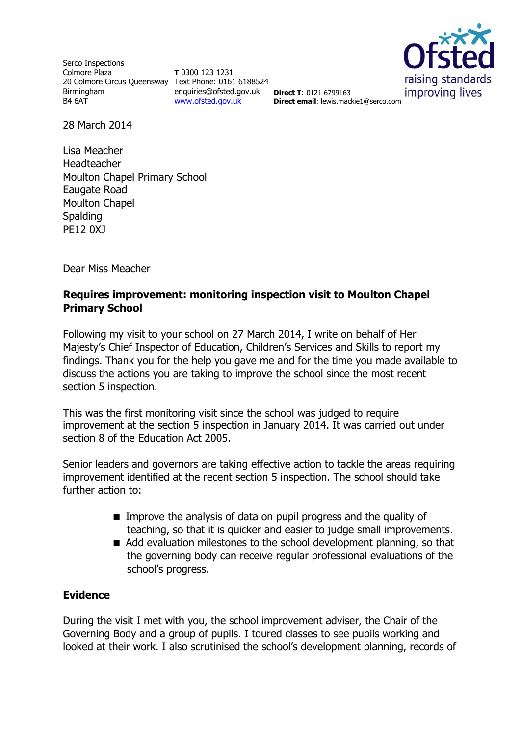Serco Inspections Colmore Plaza 20 Colmore Circus Queensway Text Phone: 0161 6188524 Birmingham B4 6AT

**T** 0300 123 1231 enquiries@ofsted.gov.uk **Direct T**: 0121 6799163 [www.ofsted.gov.uk](http://www.ofsted.gov.uk/)



**Direct email**: lewis.mackie1@serco.com

28 March 2014

Lisa Meacher Headteacher Moulton Chapel Primary School Eaugate Road Moulton Chapel Spalding PE12 0XJ

Dear Miss Meacher

## **Requires improvement: monitoring inspection visit to Moulton Chapel Primary School**

Following my visit to your school on 27 March 2014, I write on behalf of Her Majesty's Chief Inspector of Education, Children's Services and Skills to report my findings. Thank you for the help you gave me and for the time you made available to discuss the actions you are taking to improve the school since the most recent section 5 inspection.

This was the first monitoring visit since the school was judged to require improvement at the section 5 inspection in January 2014. It was carried out under section 8 of the Education Act 2005.

Senior leaders and governors are taking effective action to tackle the areas requiring improvement identified at the recent section 5 inspection. The school should take further action to:

- **IMPROVE the analysis of data on pupil progress and the quality of** teaching, so that it is quicker and easier to judge small improvements.
- Add evaluation milestones to the school development planning, so that the governing body can receive regular professional evaluations of the school's progress.

## **Evidence**

During the visit I met with you, the school improvement adviser, the Chair of the Governing Body and a group of pupils. I toured classes to see pupils working and looked at their work. I also scrutinised the school's development planning, records of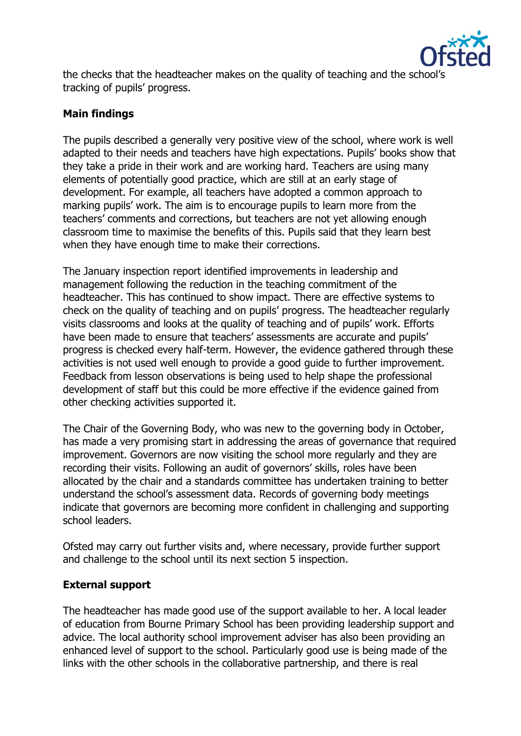

the checks that the headteacher makes on the quality of teaching and the school's tracking of pupils' progress.

## **Main findings**

The pupils described a generally very positive view of the school, where work is well adapted to their needs and teachers have high expectations. Pupils' books show that they take a pride in their work and are working hard. Teachers are using many elements of potentially good practice, which are still at an early stage of development. For example, all teachers have adopted a common approach to marking pupils' work. The aim is to encourage pupils to learn more from the teachers' comments and corrections, but teachers are not yet allowing enough classroom time to maximise the benefits of this. Pupils said that they learn best when they have enough time to make their corrections.

The January inspection report identified improvements in leadership and management following the reduction in the teaching commitment of the headteacher. This has continued to show impact. There are effective systems to check on the quality of teaching and on pupils' progress. The headteacher regularly visits classrooms and looks at the quality of teaching and of pupils' work. Efforts have been made to ensure that teachers' assessments are accurate and pupils' progress is checked every half-term. However, the evidence gathered through these activities is not used well enough to provide a good guide to further improvement. Feedback from lesson observations is being used to help shape the professional development of staff but this could be more effective if the evidence gained from other checking activities supported it.

The Chair of the Governing Body, who was new to the governing body in October, has made a very promising start in addressing the areas of governance that required improvement. Governors are now visiting the school more regularly and they are recording their visits. Following an audit of governors' skills, roles have been allocated by the chair and a standards committee has undertaken training to better understand the school's assessment data. Records of governing body meetings indicate that governors are becoming more confident in challenging and supporting school leaders.

Ofsted may carry out further visits and, where necessary, provide further support and challenge to the school until its next section 5 inspection.

## **External support**

The headteacher has made good use of the support available to her. A local leader of education from Bourne Primary School has been providing leadership support and advice. The local authority school improvement adviser has also been providing an enhanced level of support to the school. Particularly good use is being made of the links with the other schools in the collaborative partnership, and there is real